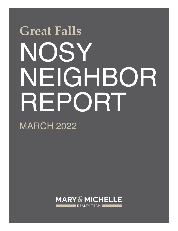## NOSY NEIGHBOR REPORT **Great Falls**

MARCH 2022

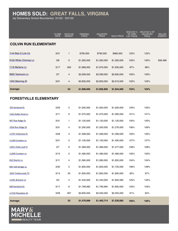## **HOMES SOLD: GREAT FALLS, VIRGINIA**

(by Elementary School Boundaries) 3/1/22 - 3/31/22

|                               | CLOSE<br><b>DATE</b> | <b>DAYS ON</b><br><b>MARKET</b> | ORIGINAL<br><b>PRICE</b> | <b>ADJUSTED</b><br><b>PRICE</b> | <b>SOLD PRICE</b> | SOLD AS %<br>OF ORIG<br><b>LIST PRICE</b> | SOLD AS % OF<br>ADJUSTED<br><b>PRICE</b> | <b>SELLER</b><br><b>SUBSIDY</b> |  |  |  |
|-------------------------------|----------------------|---------------------------------|--------------------------|---------------------------------|-------------------|-------------------------------------------|------------------------------------------|---------------------------------|--|--|--|
| <b>COLVIN RUN ELEMENTARY</b>  |                      |                                 |                          |                                 |                   |                                           |                                          |                                 |  |  |  |
| 1144 Bob O Link Cir           | 3/31                 | 1                               | \$790,000                | \$790,000                       | \$960,000         | 122%                                      | 122%                                     |                                 |  |  |  |
| 9102 White Chimney Ln         | 3/8                  | 0                               | \$1,265,000              | \$1,265,000                     | \$1,265,000       | 100%                                      | 100%                                     | \$56,466                        |  |  |  |
| 1118 Marlene Ln               | 3/17                 | 256                             | \$1,989,000              | \$1,975,000                     | \$1,935,000       | 97%                                       | 98%                                      |                                 |  |  |  |
| 9620 Tackroom Ln              | 3/7                  | 4                               | \$2,599,000              | \$2,599,000                     | \$2,600,000       | 100%                                      | 100%                                     |                                 |  |  |  |
| 1045 Manning St               | 3/31                 | 4                               | \$2,850,000              | \$2,850,000                     | \$2,910,000       | 102%                                      | 102%                                     |                                 |  |  |  |
| <b>Average:</b>               |                      | 53                              | \$1,898,600              | \$1,895,800                     | \$1,934,000       | 104%                                      | 104%                                     |                                 |  |  |  |
| <b>FORESTVILLE ELEMENTARY</b> |                      |                                 |                          |                                 |                   |                                           |                                          |                                 |  |  |  |
| 703 Kentland Dr               | 3/29                 | 5                               | \$1,000,000              | \$1,000,000                     | \$1,000,000       | 100%                                      | 100%                                     |                                 |  |  |  |
| 1162 Kettle Pond Ln           | 3/11                 | 6                               | \$1,075,000              | \$1,075,000                     | \$1,090,000       | 101%                                      | 101%                                     |                                 |  |  |  |
| 907 Riva Ridge Dr             | 3/31                 | 1                               | \$1,120,000              | \$1,120,000                     | \$1,120,000       | 100%                                      | 100%                                     |                                 |  |  |  |
| 1034 Riva Ridge Dr            | 3/31                 | 4                               | \$1,200,000              | \$1,200,000                     | \$1,276,000       | 106%                                      | 106%                                     |                                 |  |  |  |
| 11767 Hollyview Dr            | 3/28                 | 3                               | \$1,399,000              | \$1,399,000                     | \$1,399,000       | 100%                                      | 100%                                     |                                 |  |  |  |
| 11100 Corobon Ln              | 3/31                 | 0                               | \$1,100,000              | \$1,100,000                     | \$1,400,000       | 127%                                      | 127%                                     |                                 |  |  |  |
| 12011 Holly Leaf Ct           | 3/7                  | 6                               | \$1,369,000              | \$1,369,000                     | \$1,477,000       | 108%                                      | 108%                                     |                                 |  |  |  |
| 11300 Corobon Ln              | 3/15                 | 0                               | \$1,480,000              | \$1,480,000                     | \$1,480,000       | 100%                                      | 100%                                     |                                 |  |  |  |
| 810 Sherlin Ln                | 3/11                 | 4                               | \$1,585,000              | \$1,585,000                     | \$1,655,000       | 104%                                      | 104%                                     |                                 |  |  |  |
| 895 Falls Bridge Ln           | 3/30                 | 5                               | \$1,600,000              | \$1,600,000                     | \$1,725,000       | 108%                                      | 108%                                     |                                 |  |  |  |
| 1024 Timbercreek Trl          | 3/14                 | 20                              | \$1,950,000              | \$1,850,000                     | \$1,800,000       | 92%                                       | 97%                                      |                                 |  |  |  |
| 11201 Branton Ln              | 3/2                  | 4                               | \$1,442,000              | \$1,442,000                     | \$1,802,560       | 125%                                      | 125%                                     |                                 |  |  |  |
| 600 Kentland Dr               | 3/17                 | 6                               | \$1,799,990              | \$1,799,990                     | \$1,850,000       | 103%                                      | 103%                                     |                                 |  |  |  |
| 11720 Plantation Dr           | 3/28                 | 397                             | \$2,600,000              | \$2,500,000                     | \$2,355,000       | 91%                                       | 94%                                      |                                 |  |  |  |
| Average:                      |                      | 33                              | \$1,479,999              | \$1,465,714                     | \$1,530,683       | 105%                                      | 105%                                     |                                 |  |  |  |

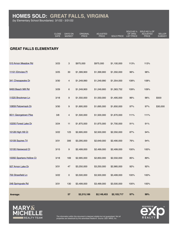## **HOMES SOLD: GREAT FALLS, VIRGINIA**

(by Elementary School Boundaries) 3/1/22 - 3/31/22

|                               | CLOSE<br>DATE | <b>DAYS ON</b><br><b>MARKET</b> | ORIGINAL<br><b>PRICE</b> | <b>ADJUSTED</b><br><b>PRICE</b> | <b>SOLD PRICE</b> | SOLD AS %<br>OF ORIG<br><b>LIST PRICE</b> | SOLD AS % OF<br><b>ADJUSTED</b><br><b>PRICE</b> | <b>SELLER</b><br><b>SUBSIDY</b> |
|-------------------------------|---------------|---------------------------------|--------------------------|---------------------------------|-------------------|-------------------------------------------|-------------------------------------------------|---------------------------------|
|                               |               |                                 |                          |                                 |                   |                                           |                                                 |                                 |
| <b>GREAT FALLS ELEMENTARY</b> |               |                                 |                          |                                 |                   |                                           |                                                 |                                 |
| 510 Arnon Meadow Rd           | 3/23          | $\mathbf{3}$                    | \$975,000                | \$975,000                       | \$1,100,000       | 113%                                      | 113%                                            |                                 |
| 11101 Elmview PI              | 3/25          | $30\,$                          | \$1,399,900              | \$1,399,900                     | \$1,350,000       | 96%                                       | 96%                                             |                                 |
| 341 Chesapeake Dr             | 3/30          | $\overline{4}$                  | \$1,249,990              | \$1,249,990                     | \$1,354,000       | 108%                                      | 108%                                            |                                 |
| 9493 Beach Mill Rd            | 3/29          | 6                               | \$1,249,900              | \$1,249,900                     | \$1,363,752       | 109%                                      | 109%                                            |                                 |
| 11520 Brockman Ln             | 3/18          | 9                               | \$1,550,000              | \$1,550,000                     | \$1,495,000       | 96%                                       | 96%                                             | \$500                           |
| 10859 Patowmack Dr            | 3/30          | $\boldsymbol{9}$                | \$1,695,000              | \$1,695,000                     | \$1,650,000       | 97%                                       | 97%                                             | \$30,000                        |
| 9511 Georgetown Pike          | 3/8           | $\overline{4}$                  | \$1,500,000              | \$1,500,000                     | \$1,670,000       | 111%                                      | 111%                                            |                                 |
| 10200 Forest Lake Dr          | 3/24          | 11                              | \$1,875,000              | \$1,875,000                     | \$1,700,000       | 91%                                       | 91%                                             |                                 |
| 10128 High Hill Ct            | 3/22          | 123                             | \$2,695,000              | \$2,500,000                     | \$2,350,000       | 87%                                       | 94%                                             |                                 |
| 10109 Squires Trl             | 3/31          | 306                             | \$3,295,000              | \$2,649,000                     | \$2,490,000       | 76%                                       | 94%                                             |                                 |
| 10100 Harewood Ct             | 3/15          | 9                               | \$2,499,000              | \$2,499,000                     | \$2,499,000       | 100%                                      | 100%                                            |                                 |
| 10092 Spartans Hollow Ct      | 3/18          | 169                             | \$2,995,000              | \$2,850,000                     | \$2,550,000       | 85%                                       | 89%                                             |                                 |
| 507 Arnon Lake Dr             | 3/31          | $47\,$                          | \$3,250,000              | \$3,250,000                     | \$2,985,000       | 92%                                       | 92%                                             |                                 |
| 700 Strawfield Ln             | 3/22          | $\mathsf{O}\xspace$             | \$3,500,000              | \$3,500,000                     | \$3,499,000       | 100%                                      | 100%                                            |                                 |
| 248 Springvale Rd             | 3/31          | 130                             | \$3,499,000              | \$3,499,000                     | \$3,500,000       | 100%                                      | 100%                                            |                                 |
| Average:                      |               | 57                              | \$2,215,186              | \$2,149,453                     | \$2,103,717       | 97%                                       | 99%                                             |                                 |





The information within this document is deemed reliable but not guaranteed. Not all properties are listed/sold by this advertised Realtor®. Source :2021 MRIS, Inc.